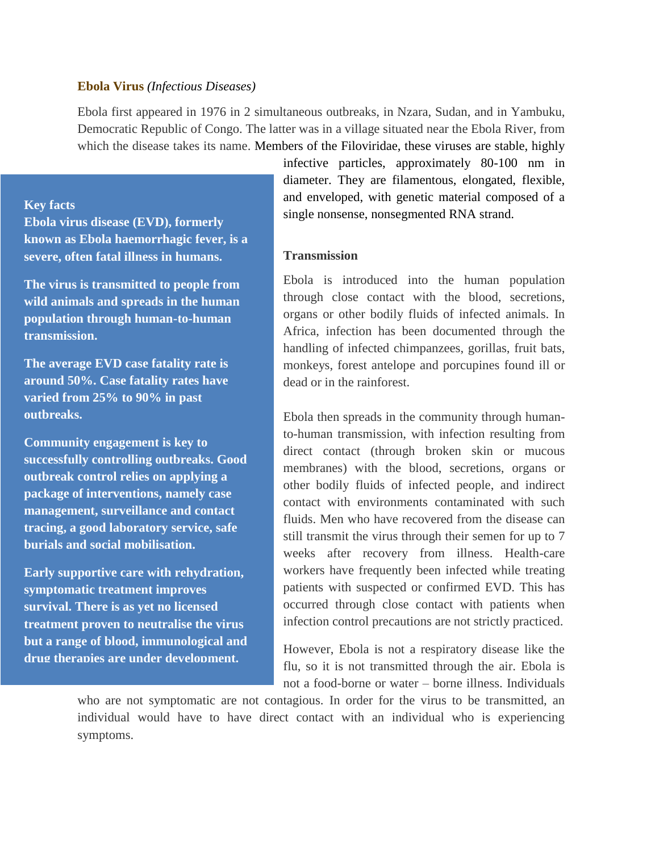#### **Ebola Virus** *(Infectious Diseases)*

Ebola first appeared in 1976 in 2 simultaneous outbreaks, in Nzara, Sudan, and in Yambuku, Democratic Republic of Congo. The latter was in a village situated near the Ebola River, from which the disease takes its name. Members of the Filoviridae, these viruses are stable, highly

#### **Key facts**

**Ebola virus disease (EVD), formerly known as Ebola haemorrhagic fever, is a severe, often fatal illness in humans.**

**The virus is transmitted to people from wild animals and spreads in the human population through human-to-human transmission.**

**The average EVD case fatality rate is around 50%. Case fatality rates have varied from 25% to 90% in past outbreaks.**

**Community engagement is key to successfully controlling outbreaks. Good outbreak control relies on applying a package of interventions, namely case management, surveillance and contact tracing, a good laboratory service, safe burials and social mobilisation.**

**Early supportive care with rehydration, symptomatic treatment improves survival. There is as yet no licensed treatment proven to neutralise the virus but a range of blood, immunological and drug therapies are under development.**

infective particles, approximately 80-100 nm in diameter. They are filamentous, elongated, flexible, and enveloped, with genetic material composed of a single nonsense, nonsegmented RNA strand.

# **Transmission**

Ebola is introduced into the human population through close contact with the blood, secretions, organs or other bodily fluids of infected animals. In Africa, infection has been documented through the handling of infected chimpanzees, gorillas, fruit bats, monkeys, forest antelope and porcupines found ill or dead or in the rainforest.

Ebola then spreads in the community through humanto-human transmission, with infection resulting from direct contact (through broken skin or mucous membranes) with the blood, secretions, organs or other bodily fluids of infected people, and indirect contact with environments contaminated with such fluids. Men who have recovered from the disease can still transmit the virus through their semen for up to 7 weeks after recovery from illness. Health-care workers have frequently been infected while treating patients with suspected or confirmed EVD. This has occurred through close contact with patients when infection control precautions are not strictly practiced.

However, Ebola is not a respiratory disease like the flu, so it is not transmitted through the air. Ebola is not a food-borne or water – borne illness. Individuals

who are not symptomatic are not contagious. In order for the virus to be transmitted, an individual would have to have direct contact with an individual who is experiencing symptoms.